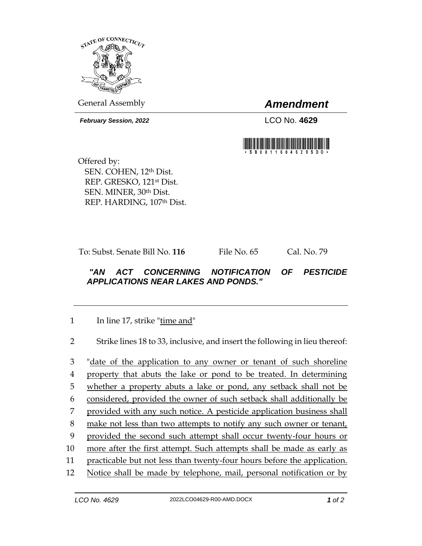

General Assembly *Amendment*

*February Session, 2022* LCO No. **4629**



Offered by: SEN. COHEN, 12th Dist. REP. GRESKO, 121st Dist. SEN. MINER, 30th Dist. REP. HARDING, 107th Dist.

To: Subst. Senate Bill No. **116** File No. 65 Cal. No. 79

## *"AN ACT CONCERNING NOTIFICATION OF PESTICIDE APPLICATIONS NEAR LAKES AND PONDS."*

1 In line 17, strike "time and"

2 Strike lines 18 to 33, inclusive, and insert the following in lieu thereof:

 "date of the application to any owner or tenant of such shoreline property that abuts the lake or pond to be treated. In determining whether a property abuts a lake or pond, any setback shall not be considered, provided the owner of such setback shall additionally be provided with any such notice. A pesticide application business shall 8 make not less than two attempts to notify any such owner or tenant, provided the second such attempt shall occur twenty-four hours or more after the first attempt. Such attempts shall be made as early as practicable but not less than twenty-four hours before the application. Notice shall be made by telephone, mail, personal notification or by